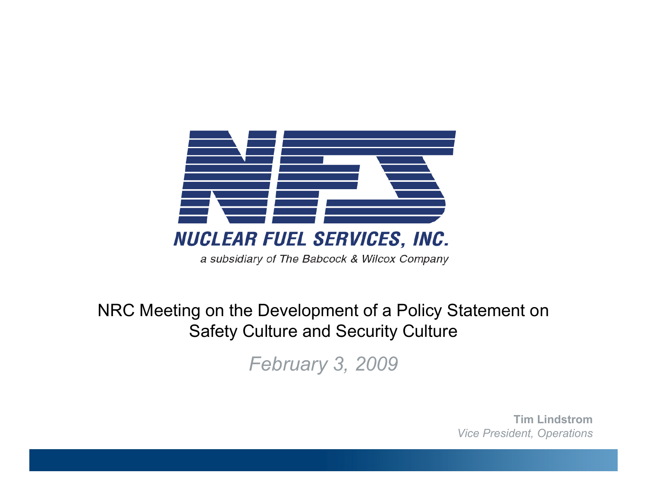

#### NRC Meeting on the Development of a Policy Statement on Safety Culture and Security Culture

*February 3, 2009*

**Tim Lindstrom***Vice President, Operations*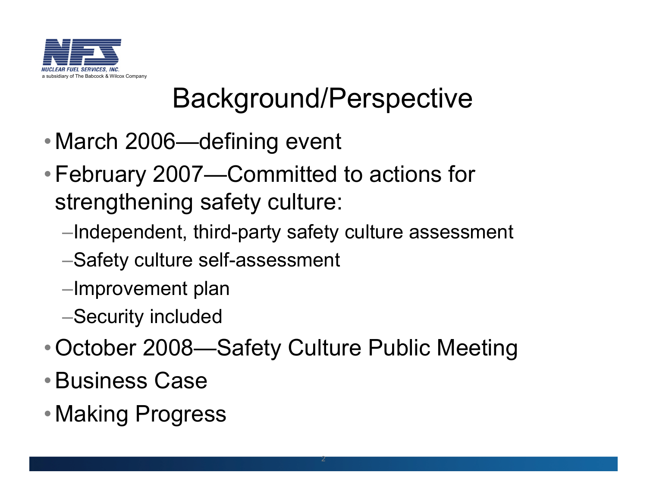

## Background/Perspective

- •March 2006—defining event
- •February 2007—Committed to actions for strengthening safety culture:
	- –Independent, third-party safety culture assessment
	- –Safety culture self-assessment
	- –Improvement plan
	- –Security included
- •October 2008—Safety Culture Public Meeting
- •Business Case
- •Making Progress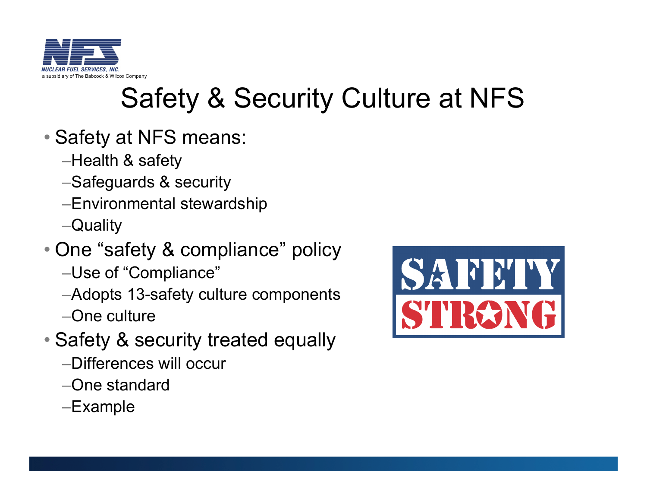

## Safety & Security Culture at NFS

- Safety at NFS means:
	- –Health & safety
	- –Safeguards & security
	- –Environmental stewardship
	- –Quality
- One "safety & compliance" policy
	- –Use of "Compliance"
	- –Adopts 13-safety culture components –One culture
- Safety & security treated equally
	- –Differences will occur
	- –One standard
	- –Example

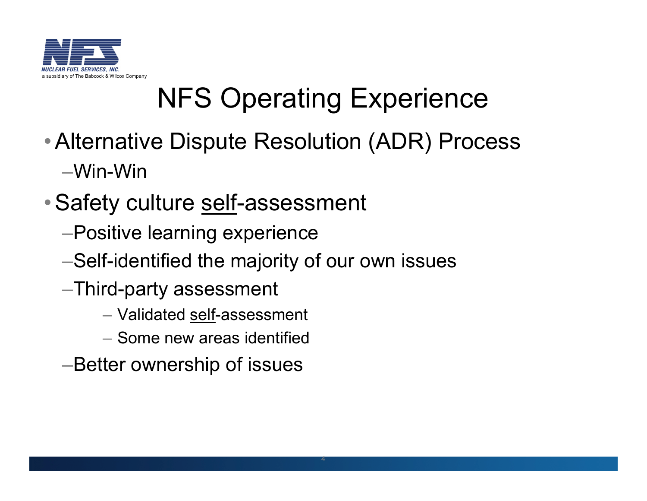

# NFS Operating Experience

- •Alternative Dispute Resolution (ADR) Process –Win-Win
- •Safety culture self-assessment
	- –Positive learning experience
	- –Self-identified the majority of our own issues
	- –Third-party assessment
		- Validated self-assessment
		- Some new areas identified
	- –Better ownership of issues